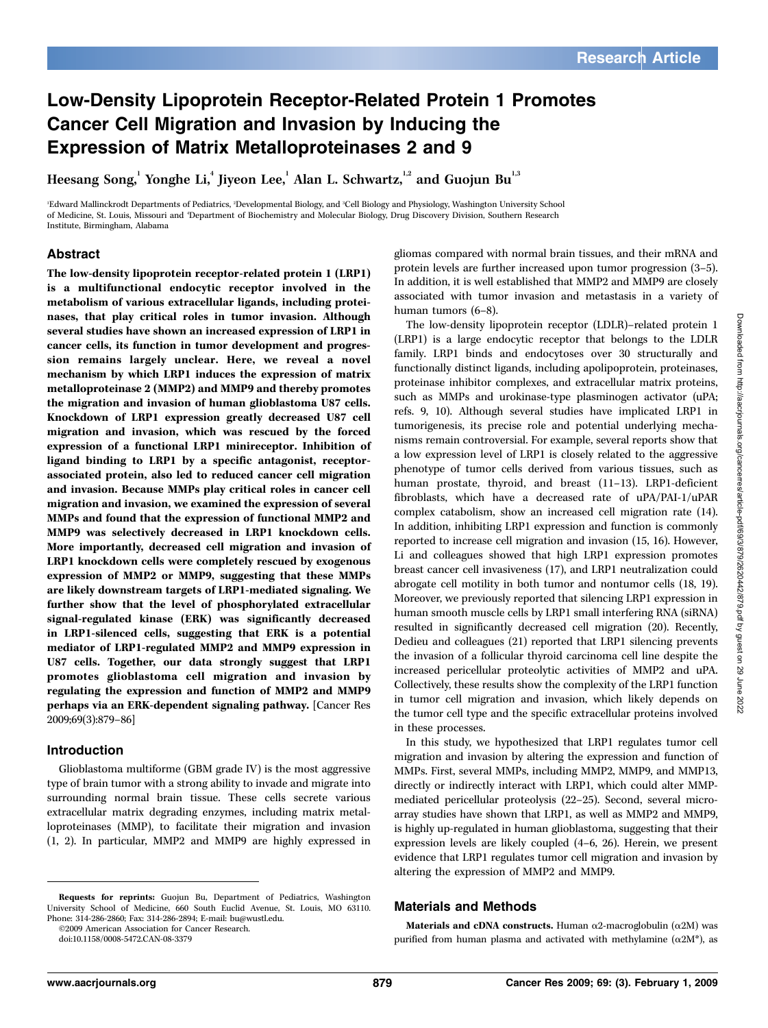# Low-Density Lipoprotein Receptor-Related Protein 1 Promotes Cancer Cell Migration and Invasion by Inducing the Expression of Matrix Metalloproteinases 2 and 9

Heesang Song, $^{\rm l}$  Yonghe Li, $^{\rm l}$  Jiyeon Lee, $^{\rm l}$  Alan L. Schwartz, $^{\rm l,2}$  and Guojun Bu $^{\rm l,3}$ 

'Edward Mallinckrodt Departments of Pediatrics, <sup>2</sup>Developmental Biology, and <sup>3</sup>Cell Biology and Physiology, Washington University School of Medicine, St. Louis, Missouri and 'Department of Biochemistry and Molecular Biology, Drug Discovery Division, Southern Research Institute, Birmingham, Alabama

# Abstract

The low-density lipoprotein receptor-related protein 1 (LRP1) is a multifunctional endocytic receptor involved in the metabolism of various extracellular ligands, including proteinases, that play critical roles in tumor invasion. Although several studies have shown an increased expression of LRP1 in cancer cells, its function in tumor development and progression remains largely unclear. Here, we reveal a novel mechanism by which LRP1 induces the expression of matrix metalloproteinase 2 (MMP2) and MMP9 and thereby promotes the migration and invasion of human glioblastoma U87 cells. Knockdown of LRP1 expression greatly decreased U87 cell migration and invasion, which was rescued by the forced expression of a functional LRP1 minireceptor.Inhibition of ligand binding to LRP1 by a specific antagonist, receptorassociated protein, also led to reduced cancer cell migration and invasion. Because MMPs play critical roles in cancer cell migration and invasion, we examined the expression of several MMPs and found that the expression of functional MMP2 and MMP9 was selectively decreased in LRP1 knockdown cells. More importantly, decreased cell migration and invasion of LRP1 knockdown cells were completely rescued by exogenous expression of MMP2 or MMP9, suggesting that these MMPs are likely downstream targets of LRP1-mediated signaling.We further show that the level of phosphorylated extracellular signal-regulated kinase (ERK) was significantly decreased in LRP1-silenced cells, suggesting that ERK is a potential mediator of LRP1-regulated MMP2 and MMP9 expression in U87 cells.Together, our data strongly suggest that LRP1 promotes glioblastoma cell migration and invasion by regulating the expression and function of MMP2 and MMP9 perhaps via an ERK-dependent signaling pathway. [Cancer Res 2009;69(3):879–86]

## Introduction

Glioblastoma multiforme (GBM grade IV) is the most aggressive type of brain tumor with a strong ability to invade and migrate into surrounding normal brain tissue. These cells secrete various extracellular matrix degrading enzymes, including matrix metalloproteinases (MMP), to facilitate their migration and invasion (1, 2). In particular, MMP2 and MMP9 are highly expressed in

©2009 American Association for Cancer Research.

doi:10.1158/0008-5472.CAN-08-3379

gliomas compared with normal brain tissues, and their mRNA and protein levels are further increased upon tumor progression (3–5). In addition, it is well established that MMP2 and MMP9 are closely associated with tumor invasion and metastasis in a variety of human tumors (6–8).

The low-density lipoprotein receptor (LDLR)–related protein 1 (LRP1) is a large endocytic receptor that belongs to the LDLR family. LRP1 binds and endocytoses over 30 structurally and functionally distinct ligands, including apolipoprotein, proteinases, proteinase inhibitor complexes, and extracellular matrix proteins, such as MMPs and urokinase-type plasminogen activator (uPA; refs. 9, 10). Although several studies have implicated LRP1 in tumorigenesis, its precise role and potential underlying mechanisms remain controversial. For example, several reports show that a low expression level of LRP1 is closely related to the aggressive phenotype of tumor cells derived from various tissues, such as human prostate, thyroid, and breast (11-13). LRP1-deficient fibroblasts, which have a decreased rate of uPA/PAI-1/uPAR complex catabolism, show an increased cell migration rate (14). In addition, inhibiting LRP1 expression and function is commonly reported to increase cell migration and invasion (15, 16). However, Li and colleagues showed that high LRP1 expression promotes breast cancer cell invasiveness (17), and LRP1 neutralization could abrogate cell motility in both tumor and nontumor cells (18, 19). Moreover, we previously reported that silencing LRP1 expression in human smooth muscle cells by LRP1 small interfering RNA (siRNA) resulted in significantly decreased cell migration (20). Recently, Dedieu and colleagues (21) reported that LRP1 silencing prevents the invasion of a follicular thyroid carcinoma cell line despite the increased pericellular proteolytic activities of MMP2 and uPA. Collectively, these results show the complexity of the LRP1 function in tumor cell migration and invasion, which likely depends on the tumor cell type and the specific extracellular proteins involved in these processes.

In this study, we hypothesized that LRP1 regulates tumor cell migration and invasion by altering the expression and function of MMPs. First, several MMPs, including MMP2, MMP9, and MMP13, directly or indirectly interact with LRP1, which could alter MMPmediated pericellular proteolysis (22–25). Second, several microarray studies have shown that LRP1, as well as MMP2 and MMP9, is highly up-regulated in human glioblastoma, suggesting that their expression levels are likely coupled (4–6, 26). Herein, we present evidence that LRP1 regulates tumor cell migration and invasion by altering the expression of MMP2 and MMP9.

## Materials and Methods

Materials and cDNA constructs. Human  $\alpha$ 2-macroglobulin ( $\alpha$ 2M) was purified from human plasma and activated with methylamine  $(\alpha 2M^*)$ , as

Requests for reprints: Guojun Bu, Department of Pediatrics, Washington University School of Medicine, 660 South Euclid Avenue, St. Louis, MO 63110. Phone: 314-286-2860; Fax: 314-286-2894; E-mail: bu@wustl.edu.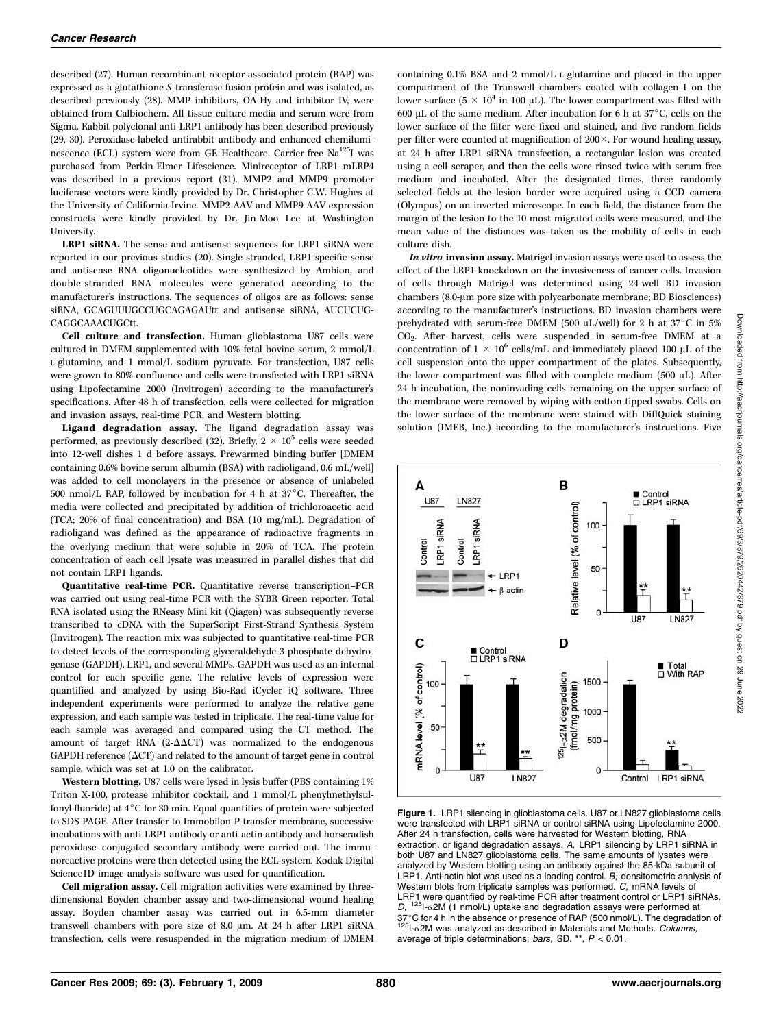described (27). Human recombinant receptor-associated protein (RAP) was expressed as a glutathione S-transferase fusion protein and was isolated, as described previously (28). MMP inhibitors, OA-Hy and inhibitor IV, were obtained from Calbiochem. All tissue culture media and serum were from Sigma. Rabbit polyclonal anti-LRP1 antibody has been described previously (29, 30). Peroxidase-labeled antirabbit antibody and enhanced chemiluminescence (ECL) system were from GE Healthcare. Carrier-free  $Na<sup>125</sup>I$  was purchased from Perkin-Elmer Lifescience. Minireceptor of LRP1 mLRP4 was described in a previous report (31). MMP2 and MMP9 promoter luciferase vectors were kindly provided by Dr. Christopher C.W. Hughes at the University of California-Irvine. MMP2-AAV and MMP9-AAV expression constructs were kindly provided by Dr. Jin-Moo Lee at Washington University.

LRP1 siRNA. The sense and antisense sequences for LRP1 siRNA were reported in our previous studies (20). Single-stranded, LRP1-specific sense and antisense RNA oligonucleotides were synthesized by Ambion, and double-stranded RNA molecules were generated according to the manufacturer's instructions. The sequences of oligos are as follows: sense siRNA, GCAGUUUGCCUGCAGAGAUtt and antisense siRNA, AUCUCUG-CAGGCAAACUGCtt.

Cell culture and transfection. Human glioblastoma U87 cells were cultured in DMEM supplemented with 10% fetal bovine serum, 2 mmol/L L-glutamine, and 1 mmol/L sodium pyruvate. For transfection, U87 cells were grown to 80% confluence and cells were transfected with LRP1 siRNA using Lipofectamine 2000 (Invitrogen) according to the manufacturer's specifications. After 48 h of transfection, cells were collected for migration and invasion assays, real-time PCR, and Western blotting.

Ligand degradation assay. The ligand degradation assay was performed, as previously described (32). Briefly,  $2 \times 10^5$  cells were seeded into 12-well dishes 1 d before assays. Prewarmed binding buffer [DMEM containing 0.6% bovine serum albumin (BSA) with radioligand, 0.6 mL/well] was added to cell monolayers in the presence or absence of unlabeled 500 nmol/L RAP, followed by incubation for 4 h at  $37^{\circ}$ C. Thereafter, the media were collected and precipitated by addition of trichloroacetic acid (TCA; 20% of final concentration) and BSA (10 mg/mL). Degradation of radioligand was defined as the appearance of radioactive fragments in the overlying medium that were soluble in 20% of TCA. The protein concentration of each cell lysate was measured in parallel dishes that did not contain LRP1 ligands.

Quantitative real-time PCR. Quantitative reverse transcription–PCR was carried out using real-time PCR with the SYBR Green reporter. Total RNA isolated using the RNeasy Mini kit (Qiagen) was subsequently reverse transcribed to cDNA with the SuperScript First-Strand Synthesis System (Invitrogen). The reaction mix was subjected to quantitative real-time PCR to detect levels of the corresponding glyceraldehyde-3-phosphate dehydrogenase (GAPDH), LRP1, and several MMPs. GAPDH was used as an internal control for each specific gene. The relative levels of expression were quantified and analyzed by using Bio-Rad iCycler iQ software. Three independent experiments were performed to analyze the relative gene expression, and each sample was tested in triplicate. The real-time value for each sample was averaged and compared using the CT method. The amount of target RNA (2- $\Delta \Delta CT$ ) was normalized to the endogenous GAPDH reference  $(\Delta CT)$  and related to the amount of target gene in control sample, which was set at 1.0 on the calibrator.

Western blotting. U87 cells were lysed in lysis buffer (PBS containing 1% Triton X-100, protease inhibitor cocktail, and 1 mmol/L phenylmethylsulfonyl fluoride) at  $4^{\circ}$ C for 30 min. Equal quantities of protein were subjected to SDS-PAGE. After transfer to Immobilon-P transfer membrane, successive incubations with anti-LRP1 antibody or anti-actin antibody and horseradish peroxidase–conjugated secondary antibody were carried out. The immunoreactive proteins were then detected using the ECL system. Kodak Digital Science1D image analysis software was used for quantification.

Cell migration assay. Cell migration activities were examined by threedimensional Boyden chamber assay and two-dimensional wound healing assay. Boyden chamber assay was carried out in 6.5-mm diameter transwell chambers with pore size of 8.0  $\mu$ m. At 24 h after LRP1 siRNA transfection, cells were resuspended in the migration medium of DMEM

containing 0.1% BSA and 2 mmol/L L-glutamine and placed in the upper compartment of the Transwell chambers coated with collagen I on the lower surface ( $5 \times 10^4$  in 100 µL). The lower compartment was filled with 600  $\mu$ L of the same medium. After incubation for 6 h at 37 $\degree$ C, cells on the lower surface of the filter were fixed and stained, and five random fields per filter were counted at magnification of  $200\times$ . For wound healing assay, at 24 h after LRP1 siRNA transfection, a rectangular lesion was created using a cell scraper, and then the cells were rinsed twice with serum-free medium and incubated. After the designated times, three randomly selected fields at the lesion border were acquired using a CCD camera (Olympus) on an inverted microscope. In each field, the distance from the margin of the lesion to the 10 most migrated cells were measured, and the mean value of the distances was taken as the mobility of cells in each culture dish.

In vitro invasion assay. Matrigel invasion assays were used to assess the effect of the LRP1 knockdown on the invasiveness of cancer cells. Invasion of cells through Matrigel was determined using 24-well BD invasion chambers (8.0-µm pore size with polycarbonate membrane; BD Biosciences) according to the manufacturer's instructions. BD invasion chambers were prehydrated with serum-free DMEM (500  $\mu$ L/well) for 2 h at 37°C in 5% CO2. After harvest, cells were suspended in serum-free DMEM at a concentration of  $1 \times 10^6$  cells/mL and immediately placed 100 µL of the cell suspension onto the upper compartment of the plates. Subsequently, the lower compartment was filled with complete medium (500  $\mu$ L). After 24 h incubation, the noninvading cells remaining on the upper surface of the membrane were removed by wiping with cotton-tipped swabs. Cells on the lower surface of the membrane were stained with DiffQuick staining solution (IMEB, Inc.) according to the manufacturer's instructions. Five



Figure 1. LRP1 silencing in glioblastoma cells. U87 or LN827 glioblastoma cells were transfected with LRP1 siRNA or control siRNA using Lipofectamine 2000. After 24 h transfection, cells were harvested for Western blotting, RNA extraction, or ligand degradation assays. A, LRP1 silencing by LRP1 siRNA in both U87 and LN827 glioblastoma cells. The same amounts of lysates were analyzed by Western blotting using an antibody against the 85-kDa subunit of LRP1. Anti-actin blot was used as a loading control. B, densitometric analysis of Western blots from triplicate samples was performed. C, mRNA levels of LRP1 were quantified by real-time PCR after treatment control or LRP1 siRNAs.  $D,$ <sup>125</sup>I- $\alpha$ 2M (1 nmol/L) uptake and degradation assays were performed at  $37^{\circ}$ C for 4 h in the absence or presence of RAP (500 nmol/L). The degradation of  $1251$ -a2M was analyzed as described in Materials and Methods. *Columns*, average of triple determinations; bars, SD. \*\*,  $P < 0.01$ .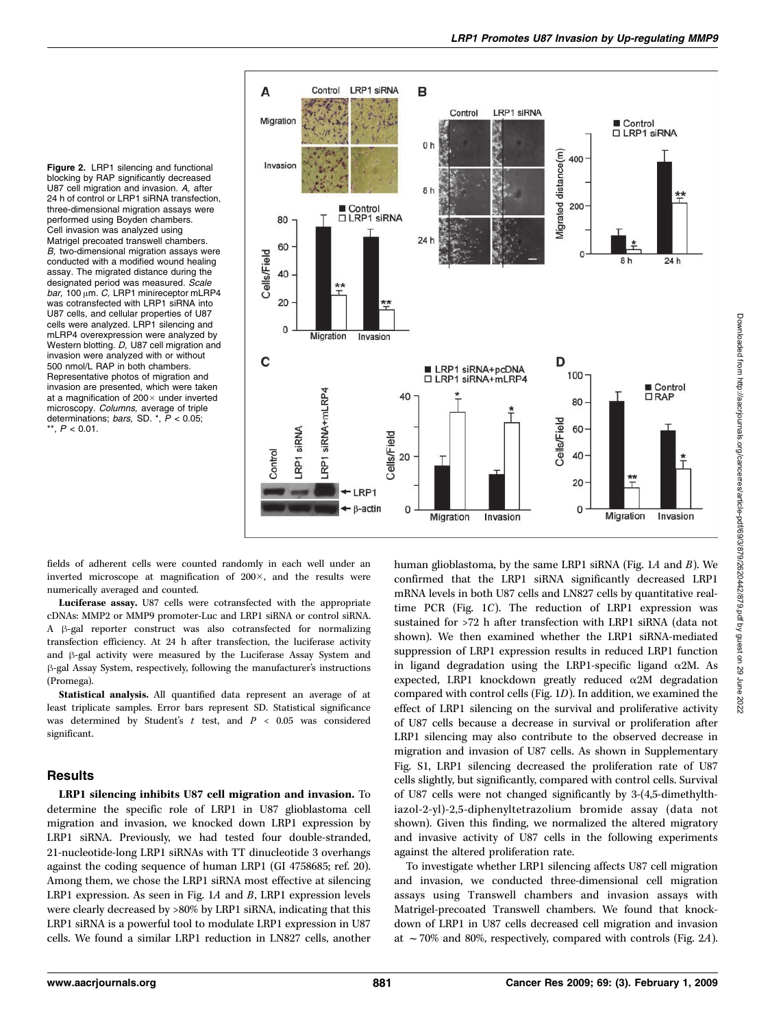Figure 2. LRP1 silencing and functional blocking by RAP significantly decreased U87 cell migration and invasion. A, after 24h of control or LRP1 siRNA transfection, three-dimensional migration assays were performed using Boyden chambers. Cell invasion was analyzed using Matrigel precoated transwell chambers. B, two-dimensional migration assays were conducted with a modified wound healing assay. The migrated distance during the designated period was measured. Scale bar, 100  $\mu$ m. C, LRP1 minireceptor mLRP4 was cotransfected with LRP1 siRNA into U87 cells, and cellular properties of U87 cells were analyzed. LRP1 silencing and mLRP4 overexpression were analyzed by Western blotting. D, U87 cell migration and invasion were analyzed with or without 500 nmol/L RAP in both chambers. Representative photos of migration and invasion are presented, which were taken at a magnification of  $200 \times$  under inverted microscopy. Columns, average of triple determinations; bars, SD.  $*$ ,  $P < 0.05$ ; \*\*,  $P < 0.01$ .



fields of adherent cells were counted randomly in each well under an inverted microscope at magnification of  $200\times$ , and the results were numerically averaged and counted.

Luciferase assay. U87 cells were cotransfected with the appropriate cDNAs: MMP2 or MMP9 promoter-Luc and LRP1 siRNA or control siRNA. A  $\beta$ -gal reporter construct was also cotransfected for normalizing transfection efficiency. At 24 h after transfection, the luciferase activity and  $\beta$ -gal activity were measured by the Luciferase Assay System and h-gal Assay System, respectively, following the manufacturer's instructions (Promega).

Statistical analysis. All quantified data represent an average of at least triplicate samples. Error bars represent SD. Statistical significance was determined by Student's  $t$  test, and  $P < 0.05$  was considered significant.

#### **Results**

LRP1 silencing inhibits U87 cell migration and invasion. To determine the specific role of LRP1 in U87 glioblastoma cell migration and invasion, we knocked down LRP1 expression by LRP1 siRNA. Previously, we had tested four double-stranded, 21-nucleotide-long LRP1 siRNAs with TT dinucleotide 3 overhangs against the coding sequence of human LRP1 (GI 4758685; ref. 20). Among them, we chose the LRP1 siRNA most effective at silencing LRP1 expression. As seen in Fig. 1A and B, LRP1 expression levels were clearly decreased by >80% by LRP1 siRNA, indicating that this LRP1 siRNA is a powerful tool to modulate LRP1 expression in U87 cells. We found a similar LRP1 reduction in LN827 cells, another human glioblastoma, by the same LRP1 siRNA (Fig. 1A and B). We confirmed that the LRP1 siRNA significantly decreased LRP1 mRNA levels in both U87 cells and LN827 cells by quantitative realtime PCR (Fig. 1C). The reduction of LRP1 expression was sustained for >72 h after transfection with LRP1 siRNA (data not shown). We then examined whether the LRP1 siRNA-mediated suppression of LRP1 expression results in reduced LRP1 function in ligand degradation using the LRP1-specific ligand  $\alpha$ 2M. As expected, LRP1 knockdown greatly reduced  $\alpha$ 2M degradation compared with control cells (Fig. 1D). In addition, we examined the effect of LRP1 silencing on the survival and proliferative activity of U87 cells because a decrease in survival or proliferation after LRP1 silencing may also contribute to the observed decrease in migration and invasion of U87 cells. As shown in Supplementary Fig. S1, LRP1 silencing decreased the proliferation rate of U87 cells slightly, but significantly, compared with control cells. Survival of U87 cells were not changed significantly by 3-(4,5-dimethylthiazol-2-yl)-2,5-diphenyltetrazolium bromide assay (data not shown). Given this finding, we normalized the altered migratory and invasive activity of U87 cells in the following experiments against the altered proliferation rate.

To investigate whether LRP1 silencing affects U87 cell migration and invasion, we conducted three-dimensional cell migration assays using Transwell chambers and invasion assays with Matrigel-precoated Transwell chambers. We found that knockdown of LRP1 in U87 cells decreased cell migration and invasion at  $\sim$  70% and 80%, respectively, compared with controls (Fig. 2A).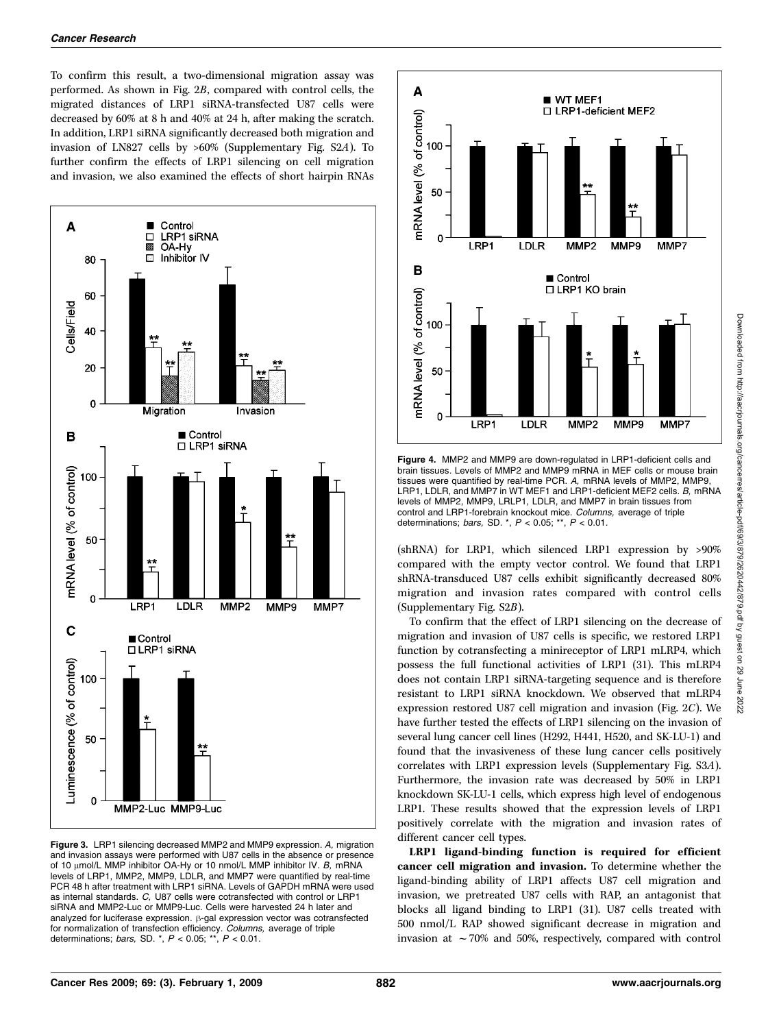To confirm this result, a two-dimensional migration assay was performed. As shown in Fig. 2B, compared with control cells, the migrated distances of LRP1 siRNA-transfected U87 cells were decreased by 60% at 8 h and 40% at 24 h, after making the scratch. In addition, LRP1 siRNA significantly decreased both migration and invasion of LN827 cells by >60% (Supplementary Fig. S2A). To further confirm the effects of LRP1 silencing on cell migration and invasion, we also examined the effects of short hairpin RNAs



Figure 3. LRP1 silencing decreased MMP2 and MMP9 expression. A, migration and invasion assays were performed with U87 cells in the absence or presence of 10  $\mu$ mol/L MMP inhibitor OA-Hy or 10 nmol/L MMP inhibitor IV. B, mRNA levels of LRP1, MMP2, MMP9, LDLR, and MMP7 were quantified by real-time PCR 48 h after treatment with LRP1 siRNA. Levels of GAPDH mRNA were used as internal standards. C, U87 cells were cotransfected with control or LRP1 siRNA and MMP2-Luc or MMP9-Luc. Cells were harvested 24h later and analyzed for luciferase expression.  $\beta$ -gal expression vector was cotransfected for normalization of transfection efficiency. Columns, average of triple determinations; bars, SD.  $^*$ ,  $P$  < 0.05;  $^{**}$ ,  $P$  < 0.01.



Figure 4. MMP2 and MMP9 are down-regulated in LRP1-deficient cells and brain tissues. Levels of MMP2 and MMP9 mRNA in MEF cells or mouse brain tissues were quantified by real-time PCR. A, mRNA levels of MMP2, MMP9, LRP1, LDLR, and MMP7 in WT MEF1 and LRP1-deficient MEF2 cells. B, mRNA levels of MMP2, MMP9, LRLP1, LDLR, and MMP7 in brain tissues from control and LRP1-forebrain knockout mice. Columns, average of triple determinations; bars, SD.  $^*$ ,  $P < 0.05$ ;  $^{**}$ ,  $P < 0.01$ .

(shRNA) for LRP1, which silenced LRP1 expression by >90% compared with the empty vector control. We found that LRP1 shRNA-transduced U87 cells exhibit significantly decreased 80% migration and invasion rates compared with control cells (Supplementary Fig. S2B).

To confirm that the effect of LRP1 silencing on the decrease of migration and invasion of U87 cells is specific, we restored LRP1 function by cotransfecting a minireceptor of LRP1 mLRP4, which possess the full functional activities of LRP1 (31). This mLRP4 does not contain LRP1 siRNA-targeting sequence and is therefore resistant to LRP1 siRNA knockdown. We observed that mLRP4 expression restored U87 cell migration and invasion (Fig. 2C). We have further tested the effects of LRP1 silencing on the invasion of several lung cancer cell lines (H292, H441, H520, and SK-LU-1) and found that the invasiveness of these lung cancer cells positively correlates with LRP1 expression levels (Supplementary Fig. S3A). Furthermore, the invasion rate was decreased by 50% in LRP1 knockdown SK-LU-1 cells, which express high level of endogenous LRP1. These results showed that the expression levels of LRP1 positively correlate with the migration and invasion rates of different cancer cell types.

LRP1 ligand-binding function is required for efficient cancer cell migration and invasion. To determine whether the ligand-binding ability of LRP1 affects U87 cell migration and invasion, we pretreated U87 cells with RAP, an antagonist that blocks all ligand binding to LRP1 (31). U87 cells treated with 500 nmol/L RAP showed significant decrease in migration and invasion at  $\sim$  70% and 50%, respectively, compared with control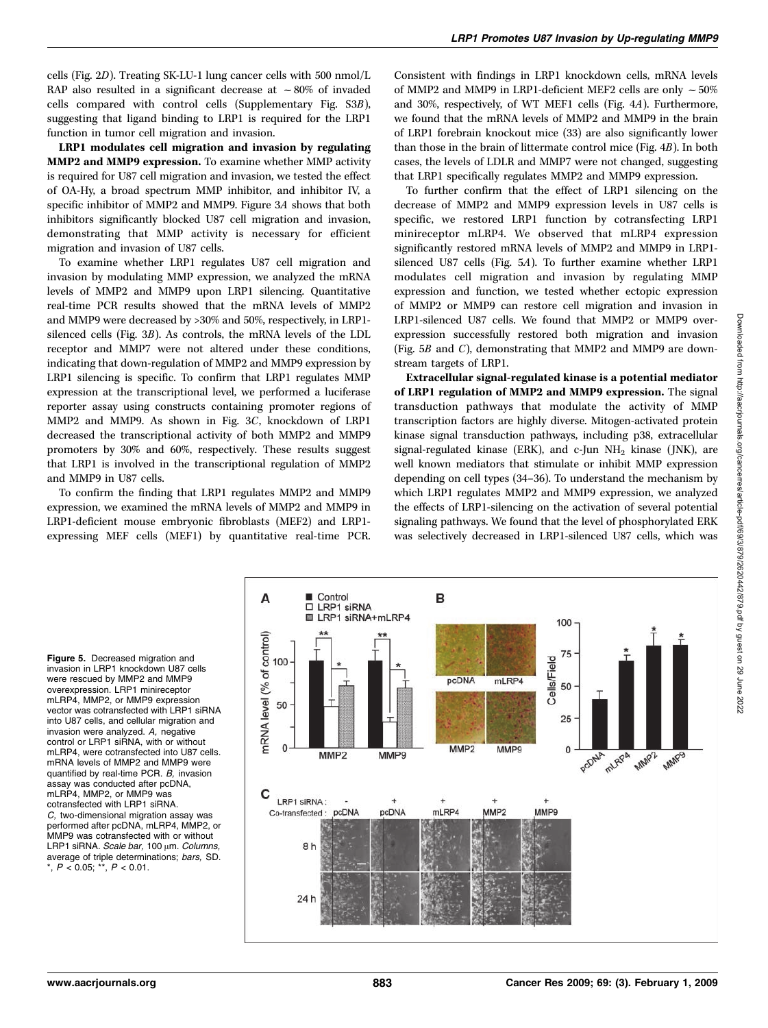cells (Fig. 2D). Treating SK-LU-1 lung cancer cells with 500 nmol/L RAP also resulted in a significant decrease at  $\sim 80\%$  of invaded cells compared with control cells (Supplementary Fig. S3B), suggesting that ligand binding to LRP1 is required for the LRP1 function in tumor cell migration and invasion.

LRP1 modulates cell migration and invasion by regulating MMP2 and MMP9 expression. To examine whether MMP activity is required for U87 cell migration and invasion, we tested the effect of OA-Hy, a broad spectrum MMP inhibitor, and inhibitor IV, a specific inhibitor of MMP2 and MMP9. Figure 3A shows that both inhibitors significantly blocked U87 cell migration and invasion, demonstrating that MMP activity is necessary for efficient migration and invasion of U87 cells.

To examine whether LRP1 regulates U87 cell migration and invasion by modulating MMP expression, we analyzed the mRNA levels of MMP2 and MMP9 upon LRP1 silencing. Quantitative real-time PCR results showed that the mRNA levels of MMP2 and MMP9 were decreased by >30% and 50%, respectively, in LRP1 silenced cells (Fig. 3B). As controls, the mRNA levels of the LDL receptor and MMP7 were not altered under these conditions, indicating that down-regulation of MMP2 and MMP9 expression by LRP1 silencing is specific. To confirm that LRP1 regulates MMP expression at the transcriptional level, we performed a luciferase reporter assay using constructs containing promoter regions of MMP2 and MMP9. As shown in Fig. 3C, knockdown of LRP1 decreased the transcriptional activity of both MMP2 and MMP9 promoters by 30% and 60%, respectively. These results suggest that LRP1 is involved in the transcriptional regulation of MMP2 and MMP9 in U87 cells.

To confirm the finding that LRP1 regulates MMP2 and MMP9 expression, we examined the mRNA levels of MMP2 and MMP9 in LRP1-deficient mouse embryonic fibroblasts (MEF2) and LRP1 expressing MEF cells (MEF1) by quantitative real-time PCR. Consistent with findings in LRP1 knockdown cells, mRNA levels of MMP2 and MMP9 in LRP1-deficient MEF2 cells are only  $\sim 50\%$ and 30%, respectively, of WT MEF1 cells (Fig. 4A). Furthermore, we found that the mRNA levels of MMP2 and MMP9 in the brain of LRP1 forebrain knockout mice (33) are also significantly lower than those in the brain of littermate control mice (Fig. 4B). In both cases, the levels of LDLR and MMP7 were not changed, suggesting that LRP1 specifically regulates MMP2 and MMP9 expression.

To further confirm that the effect of LRP1 silencing on the decrease of MMP2 and MMP9 expression levels in U87 cells is specific, we restored LRP1 function by cotransfecting LRP1 minireceptor mLRP4. We observed that mLRP4 expression significantly restored mRNA levels of MMP2 and MMP9 in LRP1 silenced U87 cells (Fig. 5A). To further examine whether LRP1 modulates cell migration and invasion by regulating MMP expression and function, we tested whether ectopic expression of MMP2 or MMP9 can restore cell migration and invasion in LRP1-silenced U87 cells. We found that MMP2 or MMP9 overexpression successfully restored both migration and invasion (Fig. 5B and C), demonstrating that MMP2 and MMP9 are downstream targets of LRP1.

Extracellular signal-regulated kinase is a potential mediator of LRP1 regulation of MMP2 and MMP9 expression. The signal transduction pathways that modulate the activity of MMP transcription factors are highly diverse. Mitogen-activated protein kinase signal transduction pathways, including p38, extracellular signal-regulated kinase (ERK), and  $c$ -Jun NH<sub>2</sub> kinase (JNK), are well known mediators that stimulate or inhibit MMP expression depending on cell types (34–36). To understand the mechanism by which LRP1 regulates MMP2 and MMP9 expression, we analyzed the effects of LRP1-silencing on the activation of several potential signaling pathways. We found that the level of phosphorylated ERK was selectively decreased in LRP1-silenced U87 cells, which was

Figure 5. Decreased migration and invasion in LRP1 knockdown U87 cells were rescued by MMP2 and MMP9 overexpression. LRP1 minireceptor mLRP4, MMP2, or MMP9 expression vector was cotransfected with LRP1 siRNA into U87 cells, and cellular migration and invasion were analyzed. A, negative control or LRP1 siRNA, with or without mLRP4, were cotransfected into U87 cells. mRNA levels of MMP2 and MMP9 were quantified by real-time PCR. B, invasion assay was conducted after pcDNA, mLRP4, MMP2, or MMP9 was cotransfected with LRP1 siRNA. C, two-dimensional migration assay was performed after pcDNA, mLRP4, MMP2, or MMP9 was cotransfected with or without LRP1 siRNA. Scale bar, 100 µm. Columns, average of triple determinations; *bars,* SD.<br>\*, P < 0.05; \*\*, P < 0.01.

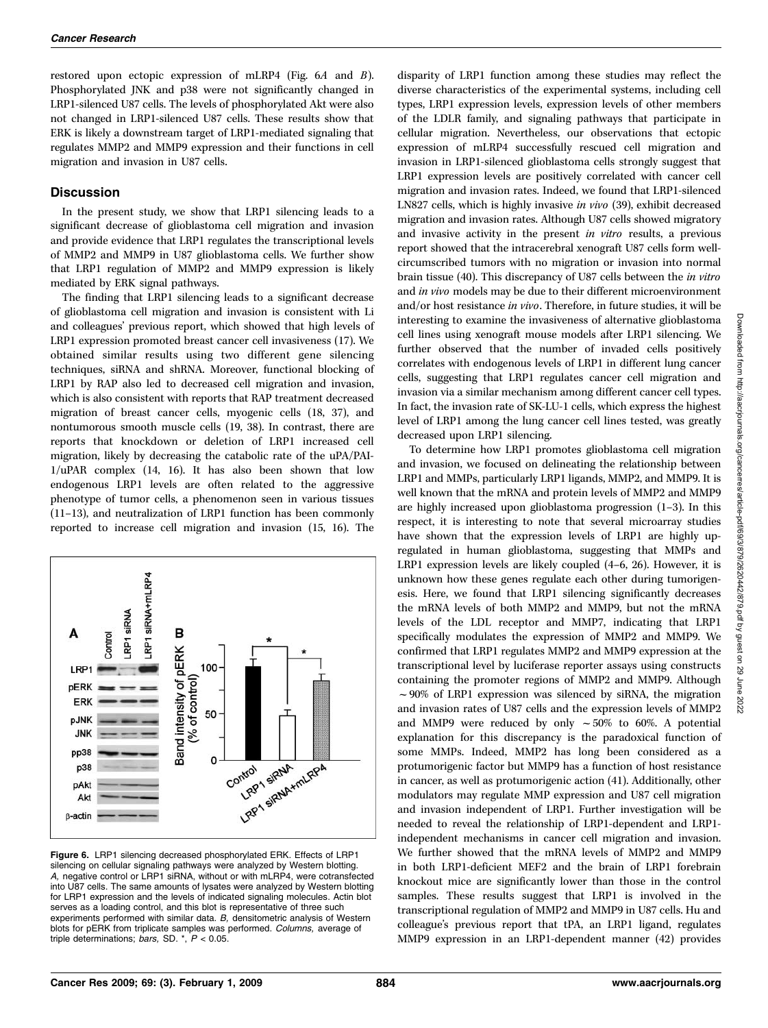restored upon ectopic expression of mLRP4 (Fig. 6A and B). Phosphorylated JNK and p38 were not significantly changed in LRP1-silenced U87 cells. The levels of phosphorylated Akt were also not changed in LRP1-silenced U87 cells. These results show that ERK is likely a downstream target of LRP1-mediated signaling that regulates MMP2 and MMP9 expression and their functions in cell migration and invasion in U87 cells.

#### **Discussion**

In the present study, we show that LRP1 silencing leads to a significant decrease of glioblastoma cell migration and invasion and provide evidence that LRP1 regulates the transcriptional levels of MMP2 and MMP9 in U87 glioblastoma cells. We further show that LRP1 regulation of MMP2 and MMP9 expression is likely mediated by ERK signal pathways.

The finding that LRP1 silencing leads to a significant decrease of glioblastoma cell migration and invasion is consistent with Li and colleagues' previous report, which showed that high levels of LRP1 expression promoted breast cancer cell invasiveness (17). We obtained similar results using two different gene silencing techniques, siRNA and shRNA. Moreover, functional blocking of LRP1 by RAP also led to decreased cell migration and invasion, which is also consistent with reports that RAP treatment decreased migration of breast cancer cells, myogenic cells (18, 37), and nontumorous smooth muscle cells (19, 38). In contrast, there are reports that knockdown or deletion of LRP1 increased cell migration, likely by decreasing the catabolic rate of the uPA/PAI-1/uPAR complex (14, 16). It has also been shown that low endogenous LRP1 levels are often related to the aggressive phenotype of tumor cells, a phenomenon seen in various tissues (11–13), and neutralization of LRP1 function has been commonly reported to increase cell migration and invasion (15, 16). The



Figure 6. LRP1 silencing decreased phosphorylated ERK. Effects of LRP1 silencing on cellular signaling pathways were analyzed by Western blotting. A, negative control or LRP1 siRNA, without or with mLRP4, were cotransfected into U87 cells. The same amounts of lysates were analyzed by Western blotting for LRP1 expression and the levels of indicated signaling molecules. Actin blot serves as a loading control, and this blot is representative of three such experiments performed with similar data. B, densitometric analysis of Western blots for pERK from triplicate samples was performed. Columns, average of triple determinations; bars, SD.  $^*$ ,  $P < 0.05$ .

disparity of LRP1 function among these studies may reflect the diverse characteristics of the experimental systems, including cell types, LRP1 expression levels, expression levels of other members of the LDLR family, and signaling pathways that participate in cellular migration. Nevertheless, our observations that ectopic expression of mLRP4 successfully rescued cell migration and invasion in LRP1-silenced glioblastoma cells strongly suggest that LRP1 expression levels are positively correlated with cancer cell migration and invasion rates. Indeed, we found that LRP1-silenced LN827 cells, which is highly invasive in vivo (39), exhibit decreased migration and invasion rates. Although U87 cells showed migratory and invasive activity in the present in vitro results, a previous report showed that the intracerebral xenograft U87 cells form wellcircumscribed tumors with no migration or invasion into normal brain tissue (40). This discrepancy of U87 cells between the in vitro and in vivo models may be due to their different microenvironment and/or host resistance in vivo. Therefore, in future studies, it will be interesting to examine the invasiveness of alternative glioblastoma cell lines using xenograft mouse models after LRP1 silencing. We further observed that the number of invaded cells positively correlates with endogenous levels of LRP1 in different lung cancer cells, suggesting that LRP1 regulates cancer cell migration and invasion via a similar mechanism among different cancer cell types. In fact, the invasion rate of SK-LU-1 cells, which express the highest level of LRP1 among the lung cancer cell lines tested, was greatly decreased upon LRP1 silencing.

To determine how LRP1 promotes glioblastoma cell migration and invasion, we focused on delineating the relationship between LRP1 and MMPs, particularly LRP1 ligands, MMP2, and MMP9. It is well known that the mRNA and protein levels of MMP2 and MMP9 are highly increased upon glioblastoma progression (1–3). In this respect, it is interesting to note that several microarray studies have shown that the expression levels of LRP1 are highly upregulated in human glioblastoma, suggesting that MMPs and LRP1 expression levels are likely coupled (4–6, 26). However, it is unknown how these genes regulate each other during tumorigenesis. Here, we found that LRP1 silencing significantly decreases the mRNA levels of both MMP2 and MMP9, but not the mRNA levels of the LDL receptor and MMP7, indicating that LRP1 specifically modulates the expression of MMP2 and MMP9. We confirmed that LRP1 regulates MMP2 and MMP9 expression at the transcriptional level by luciferase reporter assays using constructs containing the promoter regions of MMP2 and MMP9. Although  $\sim$ 90% of LRP1 expression was silenced by siRNA, the migration and invasion rates of U87 cells and the expression levels of MMP2 and MMP9 were reduced by only  $\sim 50\%$  to 60%. A potential explanation for this discrepancy is the paradoxical function of some MMPs. Indeed, MMP2 has long been considered as a protumorigenic factor but MMP9 has a function of host resistance in cancer, as well as protumorigenic action (41). Additionally, other modulators may regulate MMP expression and U87 cell migration and invasion independent of LRP1. Further investigation will be needed to reveal the relationship of LRP1-dependent and LRP1 independent mechanisms in cancer cell migration and invasion. We further showed that the mRNA levels of MMP2 and MMP9 in both LRP1-deficient MEF2 and the brain of LRP1 forebrain knockout mice are significantly lower than those in the control samples. These results suggest that LRP1 is involved in the transcriptional regulation of MMP2 and MMP9 in U87 cells. Hu and colleague's previous report that tPA, an LRP1 ligand, regulates MMP9 expression in an LRP1-dependent manner (42) provides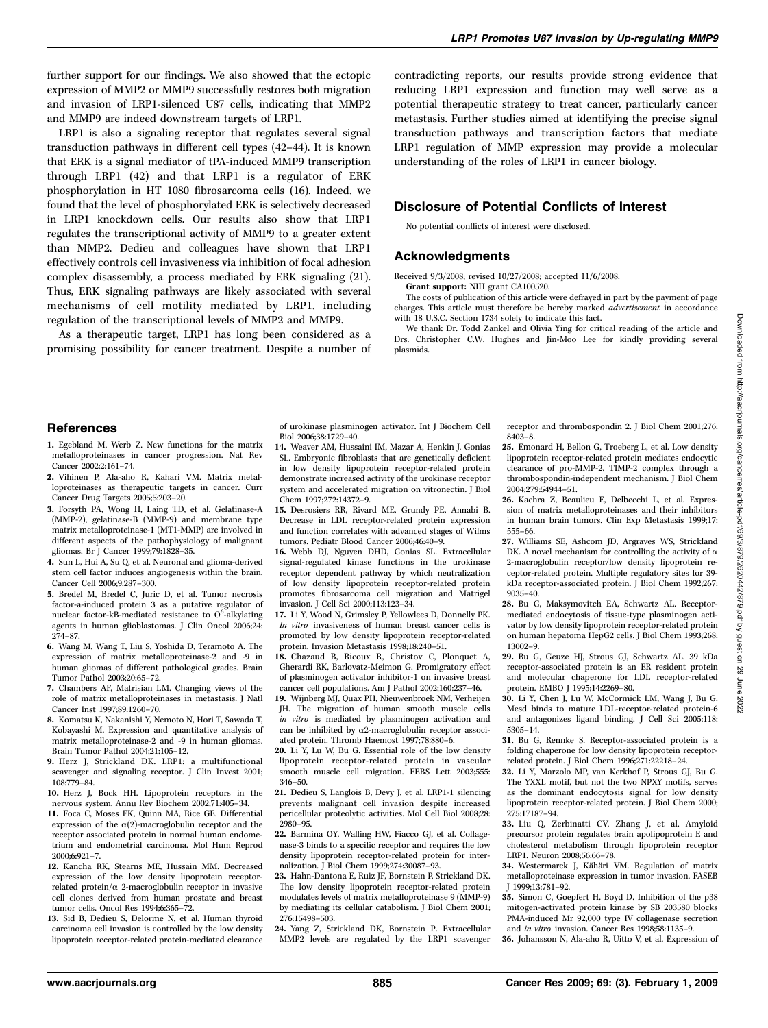further support for our findings. We also showed that the ectopic expression of MMP2 or MMP9 successfully restores both migration and invasion of LRP1-silenced U87 cells, indicating that MMP2 and MMP9 are indeed downstream targets of LRP1.

LRP1 is also a signaling receptor that regulates several signal transduction pathways in different cell types (42–44). It is known that ERK is a signal mediator of tPA-induced MMP9 transcription through LRP1 (42) and that LRP1 is a regulator of ERK phosphorylation in HT 1080 fibrosarcoma cells (16). Indeed, we found that the level of phosphorylated ERK is selectively decreased in LRP1 knockdown cells. Our results also show that LRP1 regulates the transcriptional activity of MMP9 to a greater extent than MMP2. Dedieu and colleagues have shown that LRP1 effectively controls cell invasiveness via inhibition of focal adhesion complex disassembly, a process mediated by ERK signaling (21). Thus, ERK signaling pathways are likely associated with several mechanisms of cell motility mediated by LRP1, including regulation of the transcriptional levels of MMP2 and MMP9.

As a therapeutic target, LRP1 has long been considered as a promising possibility for cancer treatment. Despite a number of contradicting reports, our results provide strong evidence that reducing LRP1 expression and function may well serve as a potential therapeutic strategy to treat cancer, particularly cancer metastasis. Further studies aimed at identifying the precise signal transduction pathways and transcription factors that mediate LRP1 regulation of MMP expression may provide a molecular understanding of the roles of LRP1 in cancer biology.

## Disclosure of Potential Conflicts of Interest

No potential conflicts of interest were disclosed.

#### Acknowledgments

Received 9/3/2008; revised 10/27/2008; accepted 11/6/2008. Grant support: NIH grant CA100520.

The costs of publication of this article were defrayed in part by the payment of page charges. This article must therefore be hereby marked *advertisement* in accordance with 18 U.S.C. Section 1734 solely to indicate this fact.

We thank Dr. Todd Zankel and Olivia Ying for critical reading of the article and Drs. Christopher C.W. Hughes and Jin-Moo Lee for kindly providing several plasmids.

#### **References**

- 1. Egebland M, Werb Z. New functions for the matrix metalloproteinases in cancer progression. Nat Rev Cancer 2002;2:161–74.
- 2. Vihinen P, Ala-aho R, Kahari VM. Matrix metalloproteinases as therapeutic targets in cancer. Curr Cancer Drug Targets 2005;5:203–20.
- 3. Forsyth PA, Wong H, Laing TD, et al. Gelatinase-A (MMP-2), gelatinase-B (MMP-9) and membrane type matrix metalloproteinase-1 (MT1-MMP) are involved in different aspects of the pathophysiology of malignant gliomas. Br J Cancer 1999;79:1828–35.
- 4. Sun L, Hui A, Su Q, et al. Neuronal and glioma-derived stem cell factor induces angiogenesis within the brain. Cancer Cell 2006;9:287–300.
- 5. Bredel M, Bredel C, Juric D, et al. Tumor necrosis factor-a-induced protein 3 as a putative regulator of nuclear factor-kB-mediated resistance to  $0^6$ -alkylating agents in human glioblastomas. J Clin Oncol 2006;24: 274–87.
- 6. Wang M, Wang T, Liu S, Yoshida D, Teramoto A. The expression of matrix metalloproteinase-2 and -9 in human gliomas of different pathological grades. Brain Tumor Pathol 2003;20:65–72.
- 7. Chambers AF, Matrisian LM. Changing views of the role of matrix metalloproteinases in metastasis. J Natl Cancer Inst 1997;89:1260–70.
- 8. Komatsu K, Nakanishi Y, Nemoto N, Hori T, Sawada T, Kobayashi M. Expression and quantitative analysis of matrix metalloproteinase-2 and -9 in human gliomas. Brain Tumor Pathol 2004;21:105–12.
- 9. Herz J, Strickland DK. LRP1: a multifunctional scavenger and signaling receptor. J Clin Invest 2001; 108:779–84.
- 10. Herz J, Bock HH. Lipoprotein receptors in the nervous system. Annu Rev Biochem 2002;71:405–34.
- 11. Foca C, Moses EK, Quinn MA, Rice GE. Differential expression of the  $\alpha(2)$ -macroglobulin receptor and the receptor associated protein in normal human endometrium and endometrial carcinoma. Mol Hum Reprod 2000;6:921–7.
- 12. Kancha RK, Stearns ME, Hussain MM. Decreased expression of the low density lipoprotein receptorrelated protein/ $\alpha$  2-macroglobulin receptor in invasive cell clones derived from human prostate and breast tumor cells. Oncol Res 1994;6:365–72.
- 13. Sid B, Dedieu S, Delorme N, et al. Human thyroid carcinoma cell invasion is controlled by the low density lipoprotein receptor-related protein-mediated clearance

of urokinase plasminogen activator. Int J Biochem Cell Biol 2006;38:1729–40.

- 14. Weaver AM, Hussaini IM, Mazar A, Henkin J, Gonias SL. Embryonic fibroblasts that are genetically deficient in low density lipoprotein receptor-related protein demonstrate increased activity of the urokinase receptor system and accelerated migration on vitronectin. J Biol Chem 1997;272:14372–9.
- 15. Desrosiers RR, Rivard ME, Grundy PE, Annabi B. Decrease in LDL receptor-related protein expression and function correlates with advanced stages of Wilms tumors. Pediatr Blood Cancer 2006;46:40–9.
- 16. Webb DJ, Nguyen DHD, Gonias SL. Extracellular signal-regulated kinase functions in the urokinase receptor dependent pathway by which neutralization of low density lipoprotein receptor-related protein promotes fibrosarcoma cell migration and Matrigel invasion. J Cell Sci 2000;113:123–34.
- 17. Li Y, Wood N, Grimsley P, Yellowlees D, Donnelly PK. In vitro invasiveness of human breast cancer cells is promoted by low density lipoprotein receptor-related protein. Invasion Metastasis 1998;18:240–51.
- 18. Chazaud B, Ricoux R, Christov C, Plonquet A, Gherardi RK, Barlovatz-Meimon G. Promigratory effect of plasminogen activator inhibitor-1 on invasive breast cancer cell populations. Am J Pathol 2002;160:237–46.
- 19. Wijnberg MJ, Quax PH, Nieuwenbroek NM, Verheijen JH. The migration of human smooth muscle cells in vitro is mediated by plasminogen activation and can be inhibited by  $\alpha$ 2-macroglobulin receptor associated protein. Thromb Haemost 1997;78:880–6.
- 20. Li Y, Lu W, Bu G. Essential role of the low density lipoprotein receptor-related protein in vascular smooth muscle cell migration. FEBS Lett 2003;555: 346–50.
- 21. Dedieu S, Langlois B, Devy J, et al. LRP1-1 silencing prevents malignant cell invasion despite increased pericellular proteolytic activities. Mol Cell Biol 2008;28: 2980–95.
- 22. Barmina OY, Walling HW, Fiacco GJ, et al. Collagenase-3 binds to a specific receptor and requires the low density lipoprotein receptor-related protein for internalization. J Biol Chem 1999;274:30087–93.
- 23. Hahn-Dantona E, Ruiz JF, Bornstein P, Strickland DK. The low density lipoprotein receptor-related protein modulates levels of matrix metalloproteinase 9 (MMP-9) by mediating its cellular catabolism. J Biol Chem 2001; 276:15498–503.
- 24. Yang Z, Strickland DK, Bornstein P. Extracellular MMP2 levels are regulated by the LRP1 scavenger

receptor and thrombospondin 2. J Biol Chem 2001;276: 8403–8.

- 25. Emonard H, Bellon G, Troeberg L, et al. Low density lipoprotein receptor-related protein mediates endocytic clearance of pro-MMP-2. TIMP-2 complex through a thrombospondin-independent mechanism. J Biol Chem 2004;279:54944–51.
- 26. Kachra Z, Beaulieu E, Delbecchi L, et al. Expression of matrix metalloproteinases and their inhibitors in human brain tumors. Clin Exp Metastasis 1999;17: 555–66.
- 27. Williams SE, Ashcom JD, Argraves WS, Strickland DK. A novel mechanism for controlling the activity of  $\alpha$ 2-macroglobulin receptor/low density lipoprotein receptor-related protein. Multiple regulatory sites for 39 kDa receptor-associated protein. J Biol Chem 1992;267: 9035–40.
- 28. Bu G, Maksymovitch EA, Schwartz AL. Receptormediated endocytosis of tissue-type plasminogen activator by low density lipoprotein receptor-related protein on human hepatoma HepG2 cells. J Biol Chem 1993;268: 13002–9.
- 29. Bu G, Geuze HJ, Strous GJ, Schwartz AL. 39 kDa receptor-associated protein is an ER resident protein and molecular chaperone for LDL receptor-related protein. EMBO J 1995;14:2269–80.
- 30. Li Y, Chen J, Lu W, McCormick LM, Wang J, Bu G. Mesd binds to mature LDL-receptor-related protein-6 and antagonizes ligand binding. J Cell Sci 2005;118: 5305–14.
- 31. Bu G, Rennke S. Receptor-associated protein is a folding chaperone for low density lipoprotein receptorrelated protein. J Biol Chem 1996;271:22218–24.
- 32. Li Y, Marzolo MP, van Kerkhof P, Strous GJ, Bu G. The YXXL motif, but not the two NPXY motifs, serves as the dominant endocytosis signal for low density lipoprotein receptor-related protein. J Biol Chem 2000: 275:17187–94.
- 33. Liu Q, Zerbinatti CV, Zhang J, et al. Amyloid precursor protein regulates brain apolipoprotein E and cholesterol metabolism through lipoprotein receptor LRP1. Neuron 2008;56:66–78.
- 34. Westermarck J, Kähäri VM. Regulation of matrix metalloproteinase expression in tumor invasion. FASEB J 1999;13:781–92.
- 35. Simon C, Goepfert H. Boyd D. Inhibition of the p38 mitogen-activated protein kinase by SB 203580 blocks PMA-induced Mr 92,000 type IV collagenase secretion and in vitro invasion. Cancer Res 1998;58:1135–9.
- 36. Johansson N, Ala-aho R, Uitto V, et al. Expression of